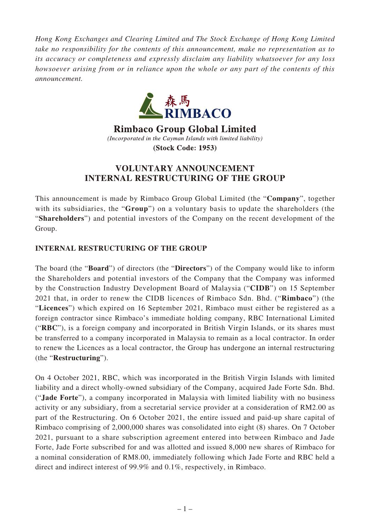*Hong Kong Exchanges and Clearing Limited and The Stock Exchange of Hong Kong Limited take no responsibility for the contents of this announcement, make no representation as to its accuracy or completeness and expressly disclaim any liability whatsoever for any loss howsoever arising from or in reliance upon the whole or any part of the contents of this announcement.*



**Rimbaco Group Global Limited** (Incorporated in the Cayman Islands with limited liability) (Stock Code: 1953)

## **VOLUNTARY ANNOUNCEMENT INTERNAL RESTRUCTURING OF THE GROUP**

This announcement is made by Rimbaco Group Global Limited (the "**Company**", together with its subsidiaries, the "**Group**") on a voluntary basis to update the shareholders (the "**Shareholders**") and potential investors of the Company on the recent development of the Group.

## **INTERNAL RESTRUCTURING OF THE GROUP**

The board (the "**Board**") of directors (the "**Directors**") of the Company would like to inform the Shareholders and potential investors of the Company that the Company was informed by the Construction Industry Development Board of Malaysia ("**CIDB**") on 15 September 2021 that, in order to renew the CIDB licences of Rimbaco Sdn. Bhd. ("**Rimbaco**") (the "**Licences**") which expired on 16 September 2021, Rimbaco must either be registered as a foreign contractor since Rimbaco's immediate holding company, RBC International Limited ("**RBC**"), is a foreign company and incorporated in British Virgin Islands, or its shares must be transferred to a company incorporated in Malaysia to remain as a local contractor. In order to renew the Licences as a local contractor, the Group has undergone an internal restructuring (the "**Restructuring**").

On 4 October 2021, RBC, which was incorporated in the British Virgin Islands with limited liability and a direct wholly-owned subsidiary of the Company, acquired Jade Forte Sdn. Bhd. ("**Jade Forte**"), a company incorporated in Malaysia with limited liability with no business activity or any subsidiary, from a secretarial service provider at a consideration of RM2.00 as part of the Restructuring. On 6 October 2021, the entire issued and paid-up share capital of Rimbaco comprising of 2,000,000 shares was consolidated into eight (8) shares. On 7 October 2021, pursuant to a share subscription agreement entered into between Rimbaco and Jade Forte, Jade Forte subscribed for and was allotted and issued 8,000 new shares of Rimbaco for a nominal consideration of RM8.00, immediately following which Jade Forte and RBC held a direct and indirect interest of 99.9% and 0.1%, respectively, in Rimbaco.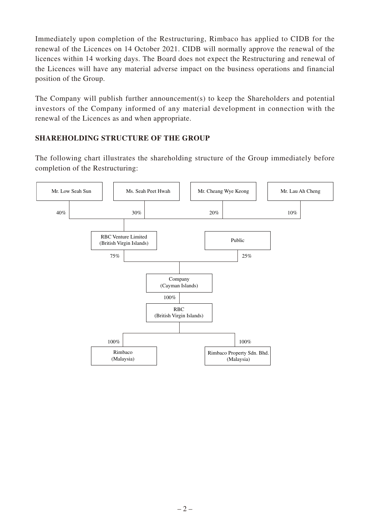Immediately upon completion of the Restructuring, Rimbaco has applied to CIDB for the renewal of the Licences on 14 October 2021. CIDB will normally approve the renewal of the licences within 14 working days. The Board does not expect the Restructuring and renewal of the Licences will have any material adverse impact on the business operations and financial position of the Group.

The Company will publish further announcement(s) to keep the Shareholders and potential investors of the Company informed of any material development in connection with the renewal of the Licences as and when appropriate.

## **SHAREHOLDING STRUCTURE OF THE GROUP**

The following chart illustrates the shareholding structure of the Group immediately before completion of the Restructuring: